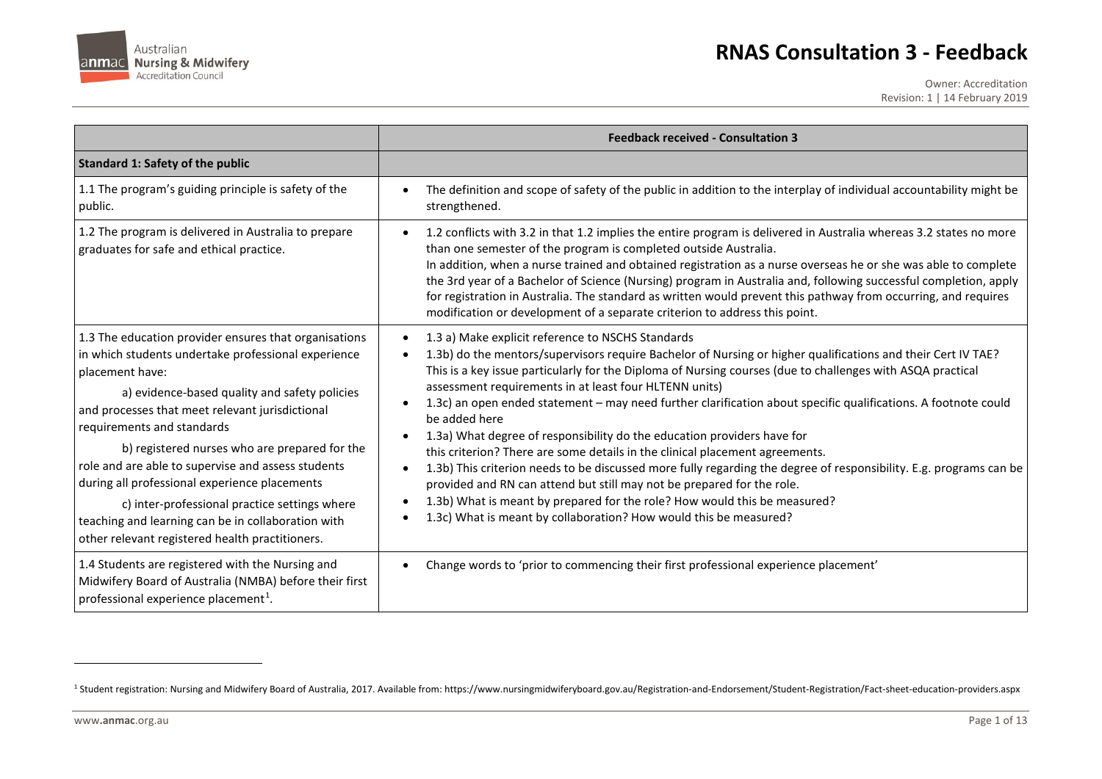

## <span id="page-0-0"></span>**RNAS Consultation 3 - Feedback**

Owner: Accreditation Revision: 1 | 14 February 2019

|                                                                                                                                                                                                                                                                                                                                                                                                                                                                                                                                                                                     | <b>Feedback received - Consultation 3</b>                                                                                                                                                                                                                                                                                                                                                                                                                                                                                                                                                                                                                                                                                                                                                                                                                                                                                                                                                 |
|-------------------------------------------------------------------------------------------------------------------------------------------------------------------------------------------------------------------------------------------------------------------------------------------------------------------------------------------------------------------------------------------------------------------------------------------------------------------------------------------------------------------------------------------------------------------------------------|-------------------------------------------------------------------------------------------------------------------------------------------------------------------------------------------------------------------------------------------------------------------------------------------------------------------------------------------------------------------------------------------------------------------------------------------------------------------------------------------------------------------------------------------------------------------------------------------------------------------------------------------------------------------------------------------------------------------------------------------------------------------------------------------------------------------------------------------------------------------------------------------------------------------------------------------------------------------------------------------|
| <b>Standard 1: Safety of the public</b>                                                                                                                                                                                                                                                                                                                                                                                                                                                                                                                                             |                                                                                                                                                                                                                                                                                                                                                                                                                                                                                                                                                                                                                                                                                                                                                                                                                                                                                                                                                                                           |
| 1.1 The program's guiding principle is safety of the<br>public.                                                                                                                                                                                                                                                                                                                                                                                                                                                                                                                     | The definition and scope of safety of the public in addition to the interplay of individual accountability might be<br>strengthened.                                                                                                                                                                                                                                                                                                                                                                                                                                                                                                                                                                                                                                                                                                                                                                                                                                                      |
| 1.2 The program is delivered in Australia to prepare<br>graduates for safe and ethical practice.                                                                                                                                                                                                                                                                                                                                                                                                                                                                                    | 1.2 conflicts with 3.2 in that 1.2 implies the entire program is delivered in Australia whereas 3.2 states no more<br>than one semester of the program is completed outside Australia.<br>In addition, when a nurse trained and obtained registration as a nurse overseas he or she was able to complete<br>the 3rd year of a Bachelor of Science (Nursing) program in Australia and, following successful completion, apply<br>for registration in Australia. The standard as written would prevent this pathway from occurring, and requires<br>modification or development of a separate criterion to address this point.                                                                                                                                                                                                                                                                                                                                                              |
| 1.3 The education provider ensures that organisations<br>in which students undertake professional experience<br>placement have:<br>a) evidence-based quality and safety policies<br>and processes that meet relevant jurisdictional<br>requirements and standards<br>b) registered nurses who are prepared for the<br>role and are able to supervise and assess students<br>during all professional experience placements<br>c) inter-professional practice settings where<br>teaching and learning can be in collaboration with<br>other relevant registered health practitioners. | 1.3 a) Make explicit reference to NSCHS Standards<br>1.3b) do the mentors/supervisors require Bachelor of Nursing or higher qualifications and their Cert IV TAE?<br>This is a key issue particularly for the Diploma of Nursing courses (due to challenges with ASQA practical<br>assessment requirements in at least four HLTENN units)<br>1.3c) an open ended statement - may need further clarification about specific qualifications. A footnote could<br>be added here<br>1.3a) What degree of responsibility do the education providers have for<br>this criterion? There are some details in the clinical placement agreements.<br>1.3b) This criterion needs to be discussed more fully regarding the degree of responsibility. E.g. programs can be<br>provided and RN can attend but still may not be prepared for the role.<br>1.3b) What is meant by prepared for the role? How would this be measured?<br>1.3c) What is meant by collaboration? How would this be measured? |
| 1.4 Students are registered with the Nursing and<br>Midwifery Board of Australia (NMBA) before their first<br>professional experience placement <sup>1</sup> .                                                                                                                                                                                                                                                                                                                                                                                                                      | Change words to 'prior to commencing their first professional experience placement'                                                                                                                                                                                                                                                                                                                                                                                                                                                                                                                                                                                                                                                                                                                                                                                                                                                                                                       |

<sup>&</sup>lt;sup>1</sup> Student registration: Nursing and Midwifery Board of Australia, 2017. Available from: https://www.nursingmidwiferyboard.gov.au/Registration-and-Endorsement/Student-Registration/Fact-sheet-education-providers.aspx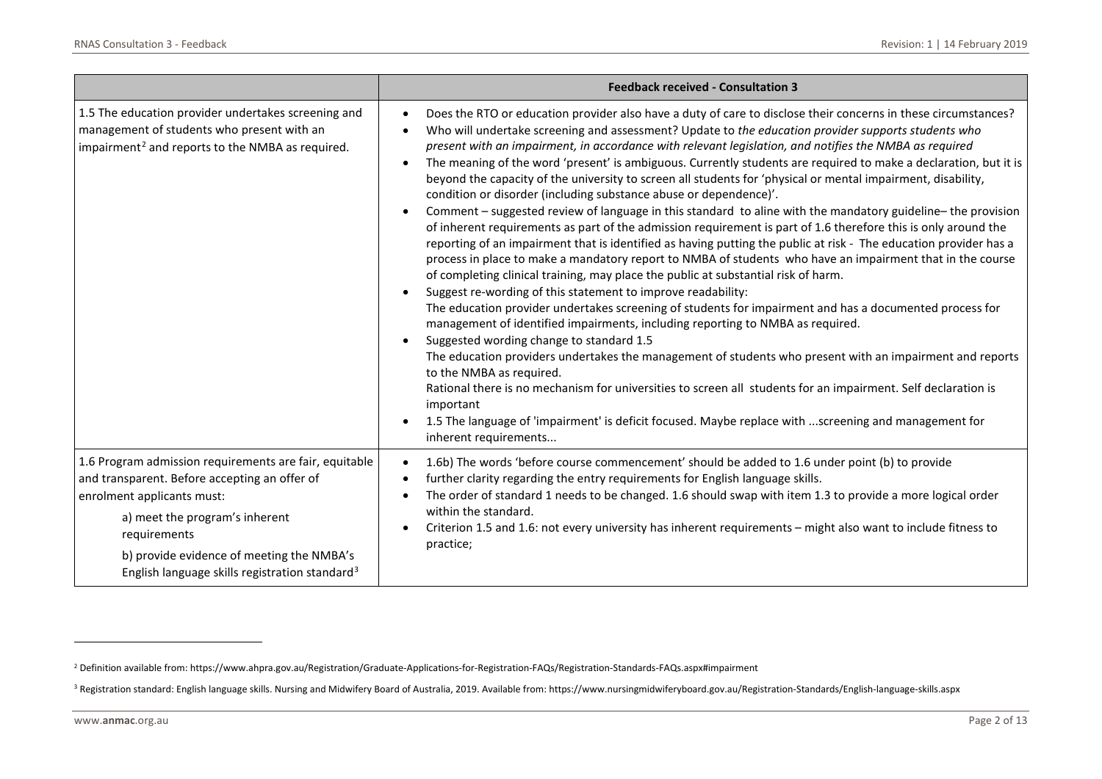<span id="page-1-1"></span><span id="page-1-0"></span>

|                                                                                                                                                                                                                                                                                                    | <b>Feedback received - Consultation 3</b>                                                                                                                                                                                                                                                                                                                                                                                                                                                                                                                                                                                                                                                                                                                                                                                                                                                                                                                                                                                                                                                                                                                                                                                                                                                                                                                                                                                                                                                                                                                                                                                                                                                                                                                                                                                                                                                                                       |
|----------------------------------------------------------------------------------------------------------------------------------------------------------------------------------------------------------------------------------------------------------------------------------------------------|---------------------------------------------------------------------------------------------------------------------------------------------------------------------------------------------------------------------------------------------------------------------------------------------------------------------------------------------------------------------------------------------------------------------------------------------------------------------------------------------------------------------------------------------------------------------------------------------------------------------------------------------------------------------------------------------------------------------------------------------------------------------------------------------------------------------------------------------------------------------------------------------------------------------------------------------------------------------------------------------------------------------------------------------------------------------------------------------------------------------------------------------------------------------------------------------------------------------------------------------------------------------------------------------------------------------------------------------------------------------------------------------------------------------------------------------------------------------------------------------------------------------------------------------------------------------------------------------------------------------------------------------------------------------------------------------------------------------------------------------------------------------------------------------------------------------------------------------------------------------------------------------------------------------------------|
| 1.5 The education provider undertakes screening and<br>management of students who present with an<br>impairment <sup>2</sup> and reports to the NMBA as required.                                                                                                                                  | Does the RTO or education provider also have a duty of care to disclose their concerns in these circumstances?<br>Who will undertake screening and assessment? Update to the education provider supports students who<br>present with an impairment, in accordance with relevant legislation, and notifies the NMBA as required<br>The meaning of the word 'present' is ambiguous. Currently students are required to make a declaration, but it is<br>beyond the capacity of the university to screen all students for 'physical or mental impairment, disability,<br>condition or disorder (including substance abuse or dependence)'.<br>Comment - suggested review of language in this standard to aline with the mandatory guideline- the provision<br>of inherent requirements as part of the admission requirement is part of 1.6 therefore this is only around the<br>reporting of an impairment that is identified as having putting the public at risk - The education provider has a<br>process in place to make a mandatory report to NMBA of students who have an impairment that in the course<br>of completing clinical training, may place the public at substantial risk of harm.<br>Suggest re-wording of this statement to improve readability:<br>$\bullet$<br>The education provider undertakes screening of students for impairment and has a documented process for<br>management of identified impairments, including reporting to NMBA as required.<br>Suggested wording change to standard 1.5<br>The education providers undertakes the management of students who present with an impairment and reports<br>to the NMBA as required.<br>Rational there is no mechanism for universities to screen all students for an impairment. Self declaration is<br>important<br>1.5 The language of 'impairment' is deficit focused. Maybe replace with screening and management for<br>inherent requirements |
| 1.6 Program admission requirements are fair, equitable<br>and transparent. Before accepting an offer of<br>enrolment applicants must:<br>a) meet the program's inherent<br>requirements<br>b) provide evidence of meeting the NMBA's<br>English language skills registration standard <sup>3</sup> | 1.6b) The words 'before course commencement' should be added to 1.6 under point (b) to provide<br>$\bullet$<br>further clarity regarding the entry requirements for English language skills.<br>The order of standard 1 needs to be changed. 1.6 should swap with item 1.3 to provide a more logical order<br>within the standard.<br>Criterion 1.5 and 1.6: not every university has inherent requirements - might also want to include fitness to<br>practice;                                                                                                                                                                                                                                                                                                                                                                                                                                                                                                                                                                                                                                                                                                                                                                                                                                                                                                                                                                                                                                                                                                                                                                                                                                                                                                                                                                                                                                                                |

l

<sup>&</sup>lt;sup>2</sup> Definition available from: https://www.ahpra.gov.au/Registration/Graduate-Applications-for-Registration-FAQs/Registration-Standards-FAQs.aspx#impairment

<sup>&</sup>lt;sup>3</sup> Registration standard: English language skills. Nursing and Midwifery Board of Australia, 2019. Available from: https://www.nursingmidwiferyboard.gov.au/Registration-Standards/English-language-skills.aspx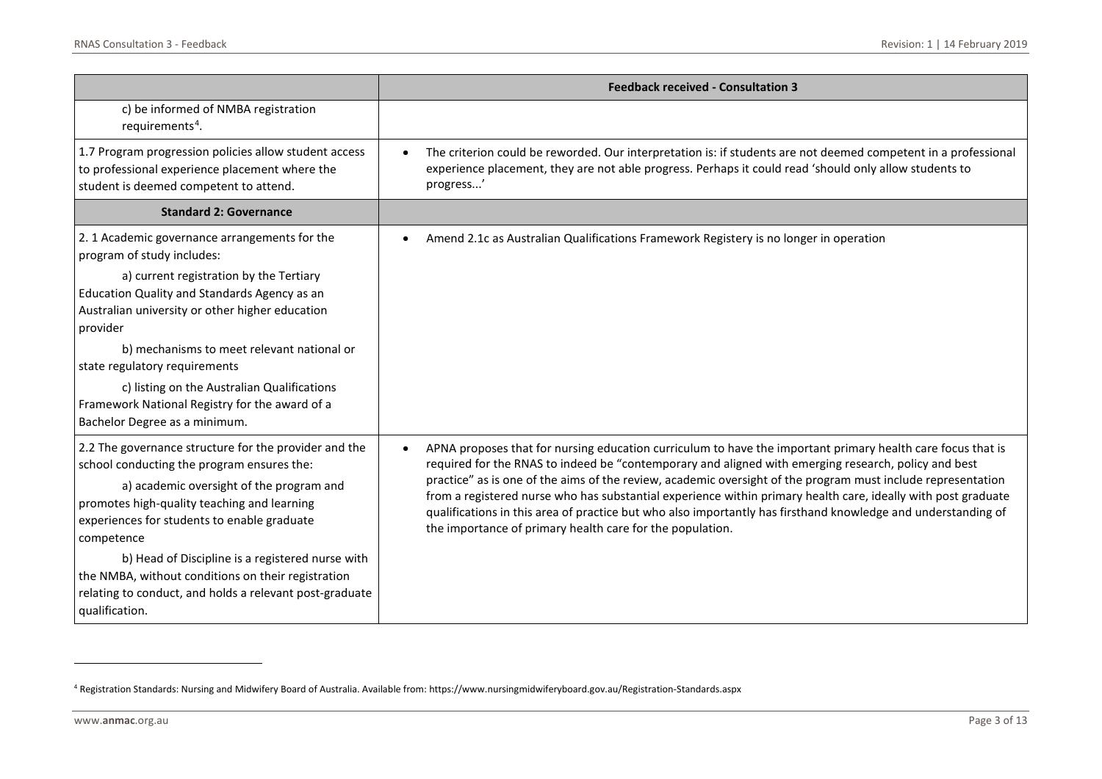<span id="page-2-0"></span>

|                                                                                                                                                                                                                                                             | <b>Feedback received - Consultation 3</b>                                                                                                                                                                                                                                                                                                                                                                                                                                                                                                                                                                                                       |
|-------------------------------------------------------------------------------------------------------------------------------------------------------------------------------------------------------------------------------------------------------------|-------------------------------------------------------------------------------------------------------------------------------------------------------------------------------------------------------------------------------------------------------------------------------------------------------------------------------------------------------------------------------------------------------------------------------------------------------------------------------------------------------------------------------------------------------------------------------------------------------------------------------------------------|
| c) be informed of NMBA registration<br>requirements <sup>4</sup> .                                                                                                                                                                                          |                                                                                                                                                                                                                                                                                                                                                                                                                                                                                                                                                                                                                                                 |
| 1.7 Program progression policies allow student access<br>to professional experience placement where the<br>student is deemed competent to attend.                                                                                                           | The criterion could be reworded. Our interpretation is: if students are not deemed competent in a professional<br>experience placement, they are not able progress. Perhaps it could read 'should only allow students to<br>progress'                                                                                                                                                                                                                                                                                                                                                                                                           |
| <b>Standard 2: Governance</b>                                                                                                                                                                                                                               |                                                                                                                                                                                                                                                                                                                                                                                                                                                                                                                                                                                                                                                 |
| 2. 1 Academic governance arrangements for the<br>program of study includes:                                                                                                                                                                                 | Amend 2.1c as Australian Qualifications Framework Registery is no longer in operation                                                                                                                                                                                                                                                                                                                                                                                                                                                                                                                                                           |
| a) current registration by the Tertiary<br>Education Quality and Standards Agency as an<br>Australian university or other higher education<br>provider                                                                                                      |                                                                                                                                                                                                                                                                                                                                                                                                                                                                                                                                                                                                                                                 |
| b) mechanisms to meet relevant national or<br>state regulatory requirements                                                                                                                                                                                 |                                                                                                                                                                                                                                                                                                                                                                                                                                                                                                                                                                                                                                                 |
| c) listing on the Australian Qualifications<br>Framework National Registry for the award of a<br>Bachelor Degree as a minimum.                                                                                                                              |                                                                                                                                                                                                                                                                                                                                                                                                                                                                                                                                                                                                                                                 |
| 2.2 The governance structure for the provider and the<br>school conducting the program ensures the:<br>a) academic oversight of the program and<br>promotes high-quality teaching and learning<br>experiences for students to enable graduate<br>competence | APNA proposes that for nursing education curriculum to have the important primary health care focus that is<br>$\bullet$<br>required for the RNAS to indeed be "contemporary and aligned with emerging research, policy and best<br>practice" as is one of the aims of the review, academic oversight of the program must include representation<br>from a registered nurse who has substantial experience within primary health care, ideally with post graduate<br>qualifications in this area of practice but who also importantly has firsthand knowledge and understanding of<br>the importance of primary health care for the population. |
| b) Head of Discipline is a registered nurse with<br>the NMBA, without conditions on their registration<br>relating to conduct, and holds a relevant post-graduate<br>qualification.                                                                         |                                                                                                                                                                                                                                                                                                                                                                                                                                                                                                                                                                                                                                                 |

<sup>4</sup> Registration Standards: Nursing and Midwifery Board of Australia. Available from: https://www.nursingmidwiferyboard.gov.au/Registration-Standards.aspx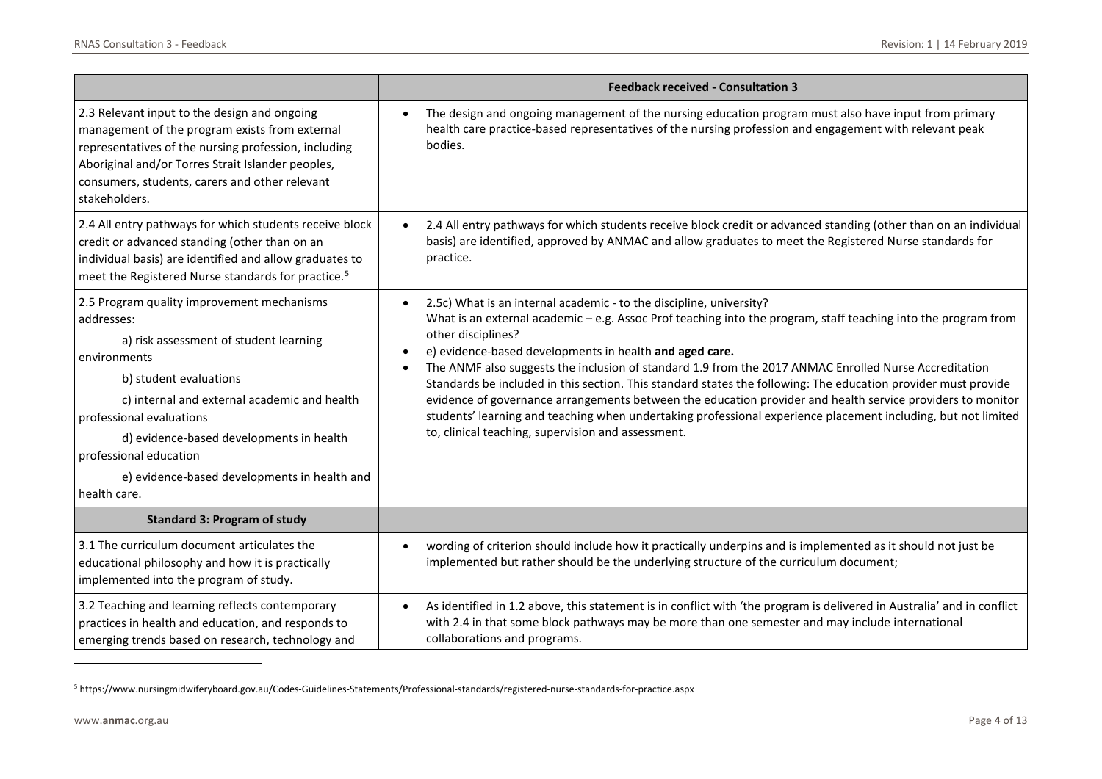<span id="page-3-0"></span>

|                                                                                                                                                                                                                                                                                                                                                                | <b>Feedback received - Consultation 3</b>                                                                                                                                                                                                                                                                                                                                                                                                                                                                                                                                                                                                                                                                                                                                              |
|----------------------------------------------------------------------------------------------------------------------------------------------------------------------------------------------------------------------------------------------------------------------------------------------------------------------------------------------------------------|----------------------------------------------------------------------------------------------------------------------------------------------------------------------------------------------------------------------------------------------------------------------------------------------------------------------------------------------------------------------------------------------------------------------------------------------------------------------------------------------------------------------------------------------------------------------------------------------------------------------------------------------------------------------------------------------------------------------------------------------------------------------------------------|
| 2.3 Relevant input to the design and ongoing<br>management of the program exists from external<br>representatives of the nursing profession, including<br>Aboriginal and/or Torres Strait Islander peoples,<br>consumers, students, carers and other relevant<br>stakeholders.                                                                                 | The design and ongoing management of the nursing education program must also have input from primary<br>health care practice-based representatives of the nursing profession and engagement with relevant peak<br>bodies.                                                                                                                                                                                                                                                                                                                                                                                                                                                                                                                                                              |
| 2.4 All entry pathways for which students receive block<br>credit or advanced standing (other than on an<br>individual basis) are identified and allow graduates to<br>meet the Registered Nurse standards for practice. <sup>5</sup>                                                                                                                          | 2.4 All entry pathways for which students receive block credit or advanced standing (other than on an individual<br>basis) are identified, approved by ANMAC and allow graduates to meet the Registered Nurse standards for<br>practice.                                                                                                                                                                                                                                                                                                                                                                                                                                                                                                                                               |
| 2.5 Program quality improvement mechanisms<br>addresses:<br>a) risk assessment of student learning<br>environments<br>b) student evaluations<br>c) internal and external academic and health<br>professional evaluations<br>d) evidence-based developments in health<br>professional education<br>e) evidence-based developments in health and<br>health care. | 2.5c) What is an internal academic - to the discipline, university?<br>What is an external academic - e.g. Assoc Prof teaching into the program, staff teaching into the program from<br>other disciplines?<br>e) evidence-based developments in health and aged care.<br>The ANMF also suggests the inclusion of standard 1.9 from the 2017 ANMAC Enrolled Nurse Accreditation<br>Standards be included in this section. This standard states the following: The education provider must provide<br>evidence of governance arrangements between the education provider and health service providers to monitor<br>students' learning and teaching when undertaking professional experience placement including, but not limited<br>to, clinical teaching, supervision and assessment. |
| <b>Standard 3: Program of study</b>                                                                                                                                                                                                                                                                                                                            |                                                                                                                                                                                                                                                                                                                                                                                                                                                                                                                                                                                                                                                                                                                                                                                        |
| 3.1 The curriculum document articulates the<br>educational philosophy and how it is practically<br>implemented into the program of study.                                                                                                                                                                                                                      | wording of criterion should include how it practically underpins and is implemented as it should not just be<br>implemented but rather should be the underlying structure of the curriculum document;                                                                                                                                                                                                                                                                                                                                                                                                                                                                                                                                                                                  |
| 3.2 Teaching and learning reflects contemporary<br>practices in health and education, and responds to<br>emerging trends based on research, technology and                                                                                                                                                                                                     | As identified in 1.2 above, this statement is in conflict with 'the program is delivered in Australia' and in conflict<br>with 2.4 in that some block pathways may be more than one semester and may include international<br>collaborations and programs.                                                                                                                                                                                                                                                                                                                                                                                                                                                                                                                             |

<sup>5</sup> https://www.nursingmidwiferyboard.gov.au/Codes-Guidelines-Statements/Professional-standards/registered-nurse-standards-for-practice.aspx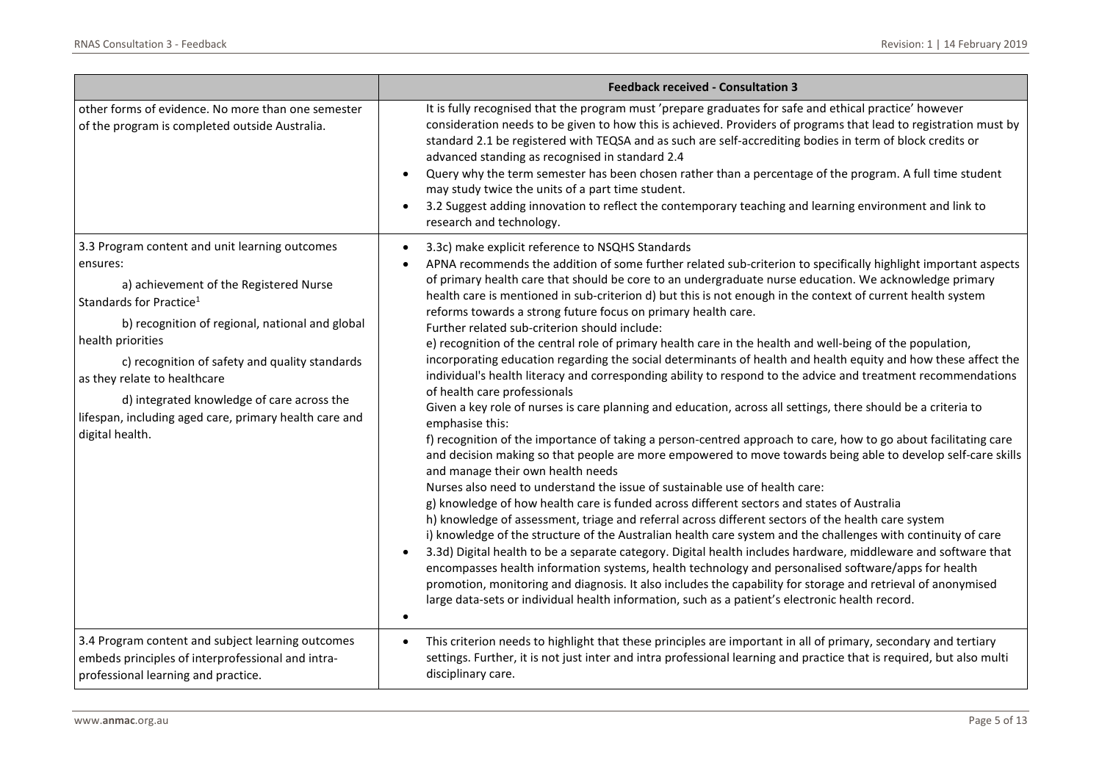|                                                                                                                                                                                                                                                                                                                                                                                                                                  | <b>Feedback received - Consultation 3</b>                                                                                                                                                                                                                                                                                                                                                                                                                                                                                                                                                                                                                                                                                                                                                                                                                                                                                                                                                                                                                                                                                                                                                                                                                                                                                                                                                                                                                                                                                                                                                                                                                                                                                                                                                                                                                                                                                                                                                                                                                                                                                                                 |
|----------------------------------------------------------------------------------------------------------------------------------------------------------------------------------------------------------------------------------------------------------------------------------------------------------------------------------------------------------------------------------------------------------------------------------|-----------------------------------------------------------------------------------------------------------------------------------------------------------------------------------------------------------------------------------------------------------------------------------------------------------------------------------------------------------------------------------------------------------------------------------------------------------------------------------------------------------------------------------------------------------------------------------------------------------------------------------------------------------------------------------------------------------------------------------------------------------------------------------------------------------------------------------------------------------------------------------------------------------------------------------------------------------------------------------------------------------------------------------------------------------------------------------------------------------------------------------------------------------------------------------------------------------------------------------------------------------------------------------------------------------------------------------------------------------------------------------------------------------------------------------------------------------------------------------------------------------------------------------------------------------------------------------------------------------------------------------------------------------------------------------------------------------------------------------------------------------------------------------------------------------------------------------------------------------------------------------------------------------------------------------------------------------------------------------------------------------------------------------------------------------------------------------------------------------------------------------------------------------|
| other forms of evidence. No more than one semester<br>of the program is completed outside Australia.                                                                                                                                                                                                                                                                                                                             | It is fully recognised that the program must 'prepare graduates for safe and ethical practice' however<br>consideration needs to be given to how this is achieved. Providers of programs that lead to registration must by<br>standard 2.1 be registered with TEQSA and as such are self-accrediting bodies in term of block credits or<br>advanced standing as recognised in standard 2.4<br>Query why the term semester has been chosen rather than a percentage of the program. A full time student<br>may study twice the units of a part time student.<br>3.2 Suggest adding innovation to reflect the contemporary teaching and learning environment and link to<br>research and technology.                                                                                                                                                                                                                                                                                                                                                                                                                                                                                                                                                                                                                                                                                                                                                                                                                                                                                                                                                                                                                                                                                                                                                                                                                                                                                                                                                                                                                                                        |
| 3.3 Program content and unit learning outcomes<br>ensures:<br>a) achievement of the Registered Nurse<br>Standards for Practice <sup>1</sup><br>b) recognition of regional, national and global<br>health priorities<br>c) recognition of safety and quality standards<br>as they relate to healthcare<br>d) integrated knowledge of care across the<br>lifespan, including aged care, primary health care and<br>digital health. | 3.3c) make explicit reference to NSQHS Standards<br>APNA recommends the addition of some further related sub-criterion to specifically highlight important aspects<br>of primary health care that should be core to an undergraduate nurse education. We acknowledge primary<br>health care is mentioned in sub-criterion d) but this is not enough in the context of current health system<br>reforms towards a strong future focus on primary health care.<br>Further related sub-criterion should include:<br>e) recognition of the central role of primary health care in the health and well-being of the population,<br>incorporating education regarding the social determinants of health and health equity and how these affect the<br>individual's health literacy and corresponding ability to respond to the advice and treatment recommendations<br>of health care professionals<br>Given a key role of nurses is care planning and education, across all settings, there should be a criteria to<br>emphasise this:<br>f) recognition of the importance of taking a person-centred approach to care, how to go about facilitating care<br>and decision making so that people are more empowered to move towards being able to develop self-care skills<br>and manage their own health needs<br>Nurses also need to understand the issue of sustainable use of health care:<br>g) knowledge of how health care is funded across different sectors and states of Australia<br>h) knowledge of assessment, triage and referral across different sectors of the health care system<br>i) knowledge of the structure of the Australian health care system and the challenges with continuity of care<br>3.3d) Digital health to be a separate category. Digital health includes hardware, middleware and software that<br>encompasses health information systems, health technology and personalised software/apps for health<br>promotion, monitoring and diagnosis. It also includes the capability for storage and retrieval of anonymised<br>large data-sets or individual health information, such as a patient's electronic health record. |
| 3.4 Program content and subject learning outcomes<br>embeds principles of interprofessional and intra-<br>professional learning and practice.                                                                                                                                                                                                                                                                                    | This criterion needs to highlight that these principles are important in all of primary, secondary and tertiary<br>$\bullet$<br>settings. Further, it is not just inter and intra professional learning and practice that is required, but also multi<br>disciplinary care.                                                                                                                                                                                                                                                                                                                                                                                                                                                                                                                                                                                                                                                                                                                                                                                                                                                                                                                                                                                                                                                                                                                                                                                                                                                                                                                                                                                                                                                                                                                                                                                                                                                                                                                                                                                                                                                                               |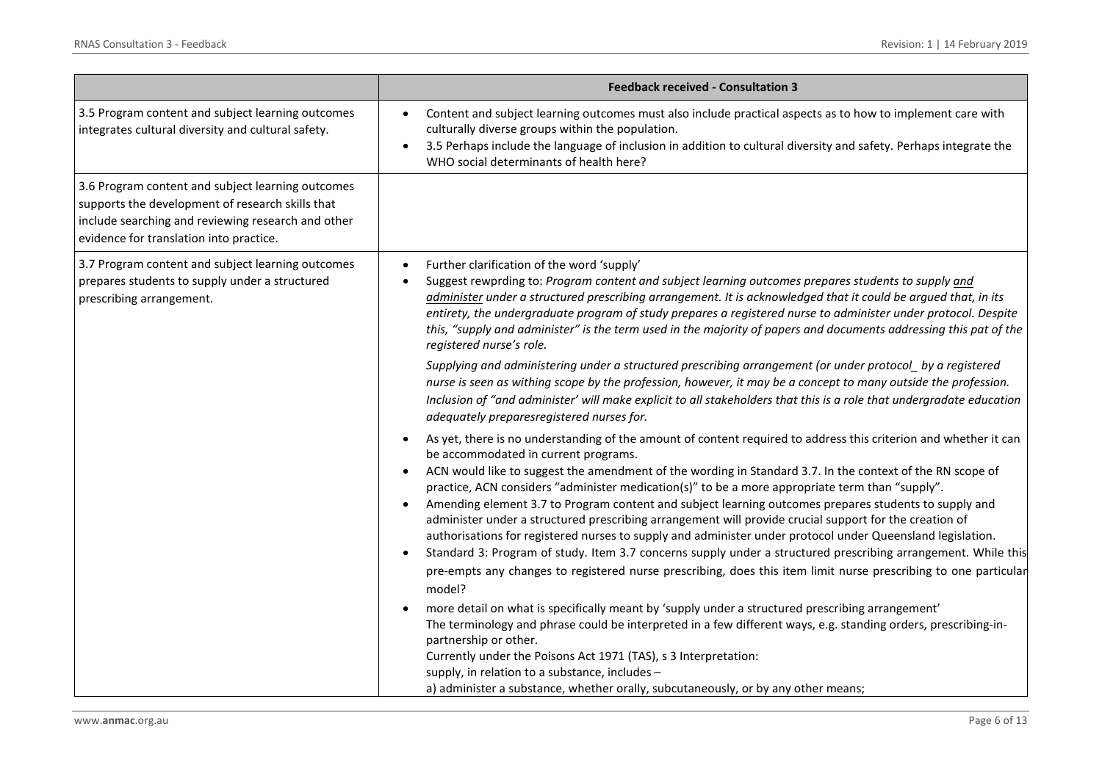|                                                                                                                                                                                                        | <b>Feedback received - Consultation 3</b>                                                                                                                                                                                                                                                                                                                                                                                                                                                                                                                                                                                                                                                                                                                                                                                                                                                                                                               |
|--------------------------------------------------------------------------------------------------------------------------------------------------------------------------------------------------------|---------------------------------------------------------------------------------------------------------------------------------------------------------------------------------------------------------------------------------------------------------------------------------------------------------------------------------------------------------------------------------------------------------------------------------------------------------------------------------------------------------------------------------------------------------------------------------------------------------------------------------------------------------------------------------------------------------------------------------------------------------------------------------------------------------------------------------------------------------------------------------------------------------------------------------------------------------|
| 3.5 Program content and subject learning outcomes<br>integrates cultural diversity and cultural safety.                                                                                                | Content and subject learning outcomes must also include practical aspects as to how to implement care with<br>$\bullet$<br>culturally diverse groups within the population.<br>3.5 Perhaps include the language of inclusion in addition to cultural diversity and safety. Perhaps integrate the<br>$\bullet$<br>WHO social determinants of health here?                                                                                                                                                                                                                                                                                                                                                                                                                                                                                                                                                                                                |
| 3.6 Program content and subject learning outcomes<br>supports the development of research skills that<br>include searching and reviewing research and other<br>evidence for translation into practice. |                                                                                                                                                                                                                                                                                                                                                                                                                                                                                                                                                                                                                                                                                                                                                                                                                                                                                                                                                         |
| 3.7 Program content and subject learning outcomes<br>prepares students to supply under a structured<br>prescribing arrangement.                                                                        | Further clarification of the word 'supply'<br>Suggest rewprding to: Program content and subject learning outcomes prepares students to supply and<br>administer under a structured prescribing arrangement. It is acknowledged that it could be argued that, in its<br>entirety, the undergraduate program of study prepares a registered nurse to administer under protocol. Despite<br>this, "supply and administer" is the term used in the majority of papers and documents addressing this pat of the<br>registered nurse's role.                                                                                                                                                                                                                                                                                                                                                                                                                  |
|                                                                                                                                                                                                        | Supplying and administering under a structured prescribing arrangement (or under protocol_by a registered<br>nurse is seen as withing scope by the profession, however, it may be a concept to many outside the profession.<br>Inclusion of "and administer' will make explicit to all stakeholders that this is a role that undergradate education<br>adequately preparesregistered nurses for.                                                                                                                                                                                                                                                                                                                                                                                                                                                                                                                                                        |
|                                                                                                                                                                                                        | As yet, there is no understanding of the amount of content required to address this criterion and whether it can<br>be accommodated in current programs.<br>ACN would like to suggest the amendment of the wording in Standard 3.7. In the context of the RN scope of<br>practice, ACN considers "administer medication(s)" to be a more appropriate term than "supply".<br>Amending element 3.7 to Program content and subject learning outcomes prepares students to supply and<br>administer under a structured prescribing arrangement will provide crucial support for the creation of<br>authorisations for registered nurses to supply and administer under protocol under Queensland legislation.<br>Standard 3: Program of study. Item 3.7 concerns supply under a structured prescribing arrangement. While this<br>pre-empts any changes to registered nurse prescribing, does this item limit nurse prescribing to one particular<br>model? |
|                                                                                                                                                                                                        | more detail on what is specifically meant by 'supply under a structured prescribing arrangement'<br>The terminology and phrase could be interpreted in a few different ways, e.g. standing orders, prescribing-in-<br>partnership or other.<br>Currently under the Poisons Act 1971 (TAS), s 3 Interpretation:<br>supply, in relation to a substance, includes -<br>a) administer a substance, whether orally, subcutaneously, or by any other means;                                                                                                                                                                                                                                                                                                                                                                                                                                                                                                   |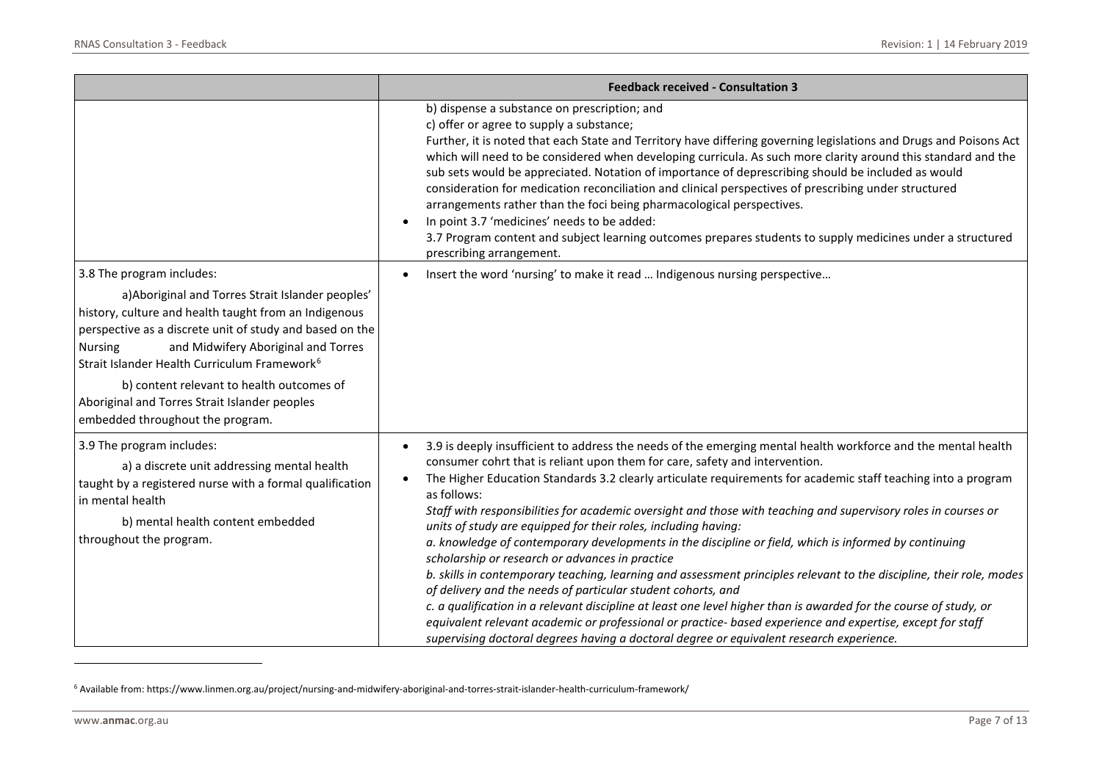<span id="page-6-0"></span>

|                                                                                                                                                                                                                                                                                                                                                                                                                                                            | <b>Feedback received - Consultation 3</b>                                                                                                                                                                                                                                                                                                                                                                                                                                                                                                                                                                                                                                                                                                                                                                                                                                                                                                                                                                                                                                                                                                                                                                        |
|------------------------------------------------------------------------------------------------------------------------------------------------------------------------------------------------------------------------------------------------------------------------------------------------------------------------------------------------------------------------------------------------------------------------------------------------------------|------------------------------------------------------------------------------------------------------------------------------------------------------------------------------------------------------------------------------------------------------------------------------------------------------------------------------------------------------------------------------------------------------------------------------------------------------------------------------------------------------------------------------------------------------------------------------------------------------------------------------------------------------------------------------------------------------------------------------------------------------------------------------------------------------------------------------------------------------------------------------------------------------------------------------------------------------------------------------------------------------------------------------------------------------------------------------------------------------------------------------------------------------------------------------------------------------------------|
|                                                                                                                                                                                                                                                                                                                                                                                                                                                            | b) dispense a substance on prescription; and<br>c) offer or agree to supply a substance;<br>Further, it is noted that each State and Territory have differing governing legislations and Drugs and Poisons Act<br>which will need to be considered when developing curricula. As such more clarity around this standard and the<br>sub sets would be appreciated. Notation of importance of deprescribing should be included as would<br>consideration for medication reconciliation and clinical perspectives of prescribing under structured<br>arrangements rather than the foci being pharmacological perspectives.<br>In point 3.7 'medicines' needs to be added:<br>3.7 Program content and subject learning outcomes prepares students to supply medicines under a structured<br>prescribing arrangement.                                                                                                                                                                                                                                                                                                                                                                                                 |
| 3.8 The program includes:<br>a) Aboriginal and Torres Strait Islander peoples'<br>history, culture and health taught from an Indigenous<br>perspective as a discrete unit of study and based on the<br>and Midwifery Aboriginal and Torres<br><b>Nursing</b><br>Strait Islander Health Curriculum Framework <sup>6</sup><br>b) content relevant to health outcomes of<br>Aboriginal and Torres Strait Islander peoples<br>embedded throughout the program. | Insert the word 'nursing' to make it read  Indigenous nursing perspective                                                                                                                                                                                                                                                                                                                                                                                                                                                                                                                                                                                                                                                                                                                                                                                                                                                                                                                                                                                                                                                                                                                                        |
| 3.9 The program includes:<br>a) a discrete unit addressing mental health<br>taught by a registered nurse with a formal qualification<br>in mental health<br>b) mental health content embedded<br>throughout the program.                                                                                                                                                                                                                                   | 3.9 is deeply insufficient to address the needs of the emerging mental health workforce and the mental health<br>$\bullet$<br>consumer cohrt that is reliant upon them for care, safety and intervention.<br>The Higher Education Standards 3.2 clearly articulate requirements for academic staff teaching into a program<br>as follows:<br>Staff with responsibilities for academic oversight and those with teaching and supervisory roles in courses or<br>units of study are equipped for their roles, including having:<br>a. knowledge of contemporary developments in the discipline or field, which is informed by continuing<br>scholarship or research or advances in practice<br>b. skills in contemporary teaching, learning and assessment principles relevant to the discipline, their role, modes<br>of delivery and the needs of particular student cohorts, and<br>c. a qualification in a relevant discipline at least one level higher than is awarded for the course of study, or<br>equivalent relevant academic or professional or practice- based experience and expertise, except for staff<br>supervising doctoral degrees having a doctoral degree or equivalent research experience. |

<sup>6</sup> Available from: https://www.linmen.org.au/project/nursing-and-midwifery-aboriginal-and-torres-strait-islander-health-curriculum-framework/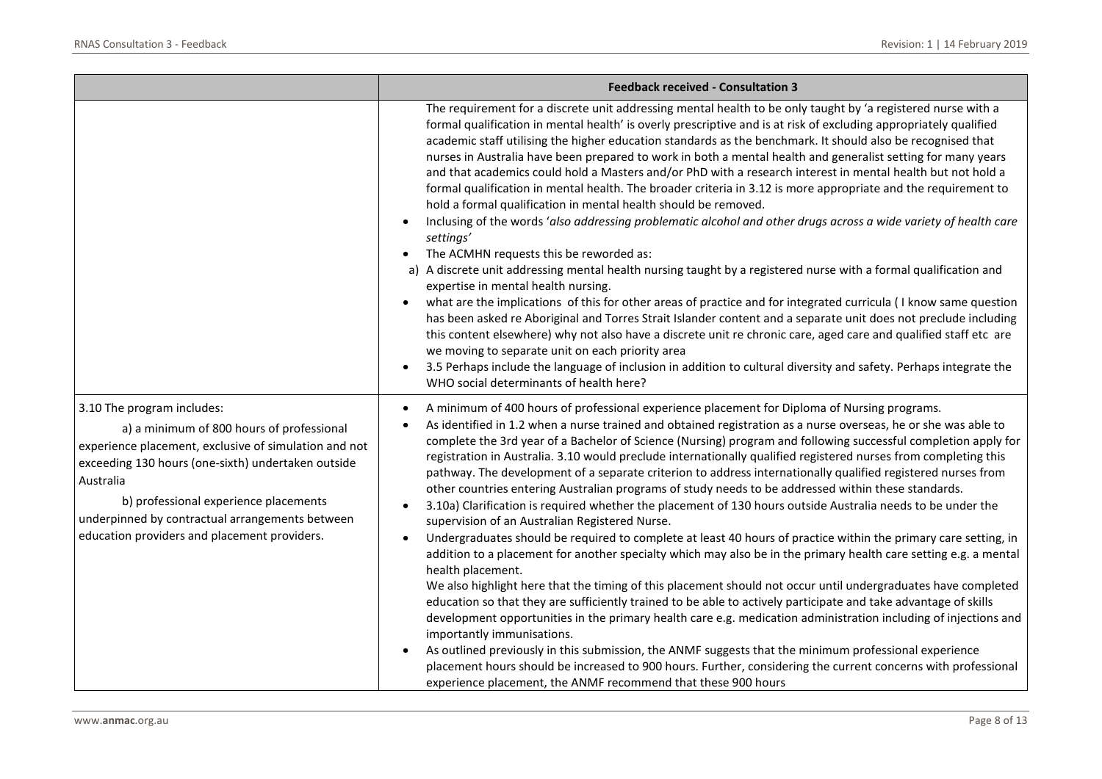|                                                                                                                                                                                                                                                                                                                                                 | <b>Feedback received - Consultation 3</b>                                                                                                                                                                                                                                                                                                                                                                                                                                                                                                                                                                                                                                                                                                                                                                                                                                                                                                                                                                                                                                                                                                                                                                                                                                                                                                                                                                                                                                                                                                                                                                                                                                                                                                                                               |
|-------------------------------------------------------------------------------------------------------------------------------------------------------------------------------------------------------------------------------------------------------------------------------------------------------------------------------------------------|-----------------------------------------------------------------------------------------------------------------------------------------------------------------------------------------------------------------------------------------------------------------------------------------------------------------------------------------------------------------------------------------------------------------------------------------------------------------------------------------------------------------------------------------------------------------------------------------------------------------------------------------------------------------------------------------------------------------------------------------------------------------------------------------------------------------------------------------------------------------------------------------------------------------------------------------------------------------------------------------------------------------------------------------------------------------------------------------------------------------------------------------------------------------------------------------------------------------------------------------------------------------------------------------------------------------------------------------------------------------------------------------------------------------------------------------------------------------------------------------------------------------------------------------------------------------------------------------------------------------------------------------------------------------------------------------------------------------------------------------------------------------------------------------|
|                                                                                                                                                                                                                                                                                                                                                 | The requirement for a discrete unit addressing mental health to be only taught by 'a registered nurse with a<br>formal qualification in mental health' is overly prescriptive and is at risk of excluding appropriately qualified<br>academic staff utilising the higher education standards as the benchmark. It should also be recognised that<br>nurses in Australia have been prepared to work in both a mental health and generalist setting for many years<br>and that academics could hold a Masters and/or PhD with a research interest in mental health but not hold a<br>formal qualification in mental health. The broader criteria in 3.12 is more appropriate and the requirement to<br>hold a formal qualification in mental health should be removed.<br>Inclusing of the words 'also addressing problematic alcohol and other drugs across a wide variety of health care<br>settings'<br>The ACMHN requests this be reworded as:<br>a) A discrete unit addressing mental health nursing taught by a registered nurse with a formal qualification and<br>expertise in mental health nursing.<br>what are the implications of this for other areas of practice and for integrated curricula (I know same question<br>has been asked re Aboriginal and Torres Strait Islander content and a separate unit does not preclude including<br>this content elsewhere) why not also have a discrete unit re chronic care, aged care and qualified staff etc are<br>we moving to separate unit on each priority area<br>3.5 Perhaps include the language of inclusion in addition to cultural diversity and safety. Perhaps integrate the<br>WHO social determinants of health here?                                                                                              |
| 3.10 The program includes:<br>a) a minimum of 800 hours of professional<br>experience placement, exclusive of simulation and not<br>exceeding 130 hours (one-sixth) undertaken outside<br>Australia<br>b) professional experience placements<br>underpinned by contractual arrangements between<br>education providers and placement providers. | A minimum of 400 hours of professional experience placement for Diploma of Nursing programs.<br>As identified in 1.2 when a nurse trained and obtained registration as a nurse overseas, he or she was able to<br>complete the 3rd year of a Bachelor of Science (Nursing) program and following successful completion apply for<br>registration in Australia. 3.10 would preclude internationally qualified registered nurses from completing this<br>pathway. The development of a separate criterion to address internationally qualified registered nurses from<br>other countries entering Australian programs of study needs to be addressed within these standards.<br>3.10a) Clarification is required whether the placement of 130 hours outside Australia needs to be under the<br>supervision of an Australian Registered Nurse.<br>Undergraduates should be required to complete at least 40 hours of practice within the primary care setting, in<br>addition to a placement for another specialty which may also be in the primary health care setting e.g. a mental<br>health placement.<br>We also highlight here that the timing of this placement should not occur until undergraduates have completed<br>education so that they are sufficiently trained to be able to actively participate and take advantage of skills<br>development opportunities in the primary health care e.g. medication administration including of injections and<br>importantly immunisations.<br>As outlined previously in this submission, the ANMF suggests that the minimum professional experience<br>placement hours should be increased to 900 hours. Further, considering the current concerns with professional<br>experience placement, the ANMF recommend that these 900 hours |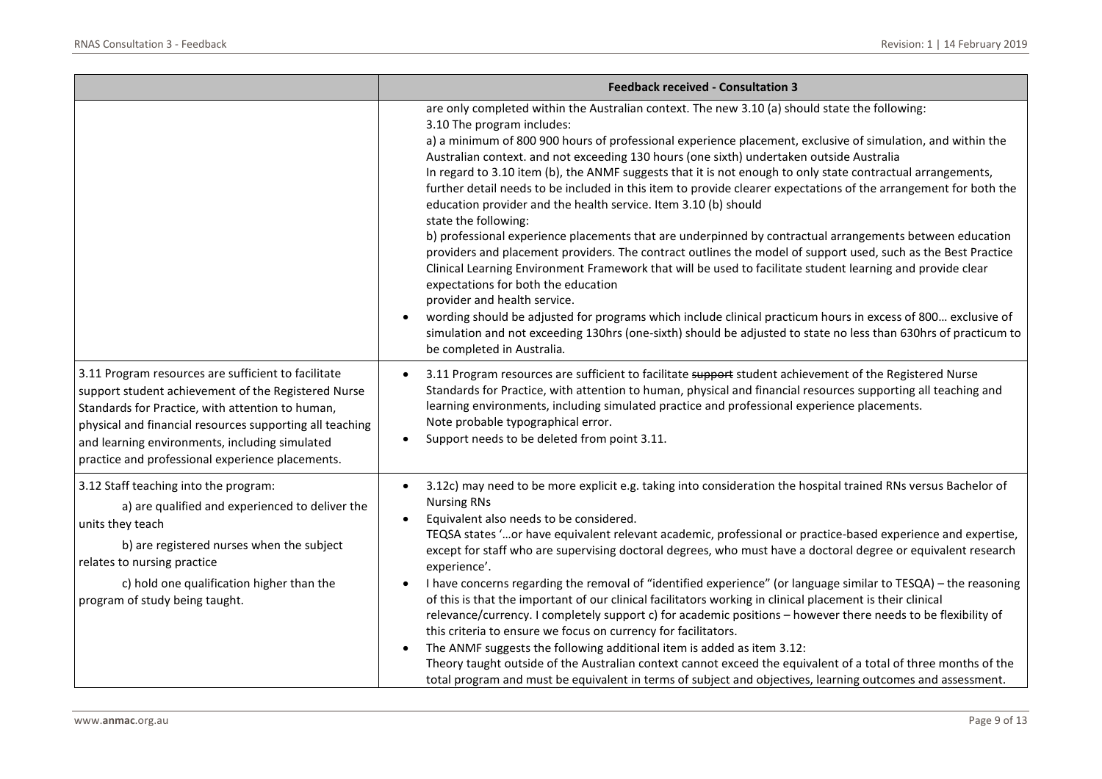|                                                                                                                                                                                                                                                                                                                                  | <b>Feedback received - Consultation 3</b>                                                                                                                                                                                                                                                                                                                                                                                                                                                                                                                                                                                                                                                                                                                                                                                                                                                                                                                                                                                                                                                                                                                                                                                                                                                                                                                |
|----------------------------------------------------------------------------------------------------------------------------------------------------------------------------------------------------------------------------------------------------------------------------------------------------------------------------------|----------------------------------------------------------------------------------------------------------------------------------------------------------------------------------------------------------------------------------------------------------------------------------------------------------------------------------------------------------------------------------------------------------------------------------------------------------------------------------------------------------------------------------------------------------------------------------------------------------------------------------------------------------------------------------------------------------------------------------------------------------------------------------------------------------------------------------------------------------------------------------------------------------------------------------------------------------------------------------------------------------------------------------------------------------------------------------------------------------------------------------------------------------------------------------------------------------------------------------------------------------------------------------------------------------------------------------------------------------|
|                                                                                                                                                                                                                                                                                                                                  | are only completed within the Australian context. The new 3.10 (a) should state the following:<br>3.10 The program includes:<br>a) a minimum of 800 900 hours of professional experience placement, exclusive of simulation, and within the<br>Australian context. and not exceeding 130 hours (one sixth) undertaken outside Australia<br>In regard to 3.10 item (b), the ANMF suggests that it is not enough to only state contractual arrangements,<br>further detail needs to be included in this item to provide clearer expectations of the arrangement for both the<br>education provider and the health service. Item 3.10 (b) should<br>state the following:<br>b) professional experience placements that are underpinned by contractual arrangements between education<br>providers and placement providers. The contract outlines the model of support used, such as the Best Practice<br>Clinical Learning Environment Framework that will be used to facilitate student learning and provide clear<br>expectations for both the education<br>provider and health service.<br>wording should be adjusted for programs which include clinical practicum hours in excess of 800 exclusive of<br>simulation and not exceeding 130hrs (one-sixth) should be adjusted to state no less than 630hrs of practicum to<br>be completed in Australia. |
| 3.11 Program resources are sufficient to facilitate<br>support student achievement of the Registered Nurse<br>Standards for Practice, with attention to human,<br>physical and financial resources supporting all teaching<br>and learning environments, including simulated<br>practice and professional experience placements. | 3.11 Program resources are sufficient to facilitate support student achievement of the Registered Nurse<br>Standards for Practice, with attention to human, physical and financial resources supporting all teaching and<br>learning environments, including simulated practice and professional experience placements.<br>Note probable typographical error.<br>Support needs to be deleted from point 3.11.                                                                                                                                                                                                                                                                                                                                                                                                                                                                                                                                                                                                                                                                                                                                                                                                                                                                                                                                            |
| 3.12 Staff teaching into the program:<br>a) are qualified and experienced to deliver the<br>units they teach<br>b) are registered nurses when the subject<br>relates to nursing practice<br>c) hold one qualification higher than the<br>program of study being taught.                                                          | 3.12c) may need to be more explicit e.g. taking into consideration the hospital trained RNs versus Bachelor of<br><b>Nursing RNs</b><br>Equivalent also needs to be considered.<br>TEQSA states 'or have equivalent relevant academic, professional or practice-based experience and expertise,<br>except for staff who are supervising doctoral degrees, who must have a doctoral degree or equivalent research<br>experience'.<br>I have concerns regarding the removal of "identified experience" (or language similar to TESQA) – the reasoning<br>of this is that the important of our clinical facilitators working in clinical placement is their clinical<br>relevance/currency. I completely support c) for academic positions - however there needs to be flexibility of<br>this criteria to ensure we focus on currency for facilitators.<br>The ANMF suggests the following additional item is added as item 3.12:<br>Theory taught outside of the Australian context cannot exceed the equivalent of a total of three months of the<br>total program and must be equivalent in terms of subject and objectives, learning outcomes and assessment.                                                                                                                                                                                           |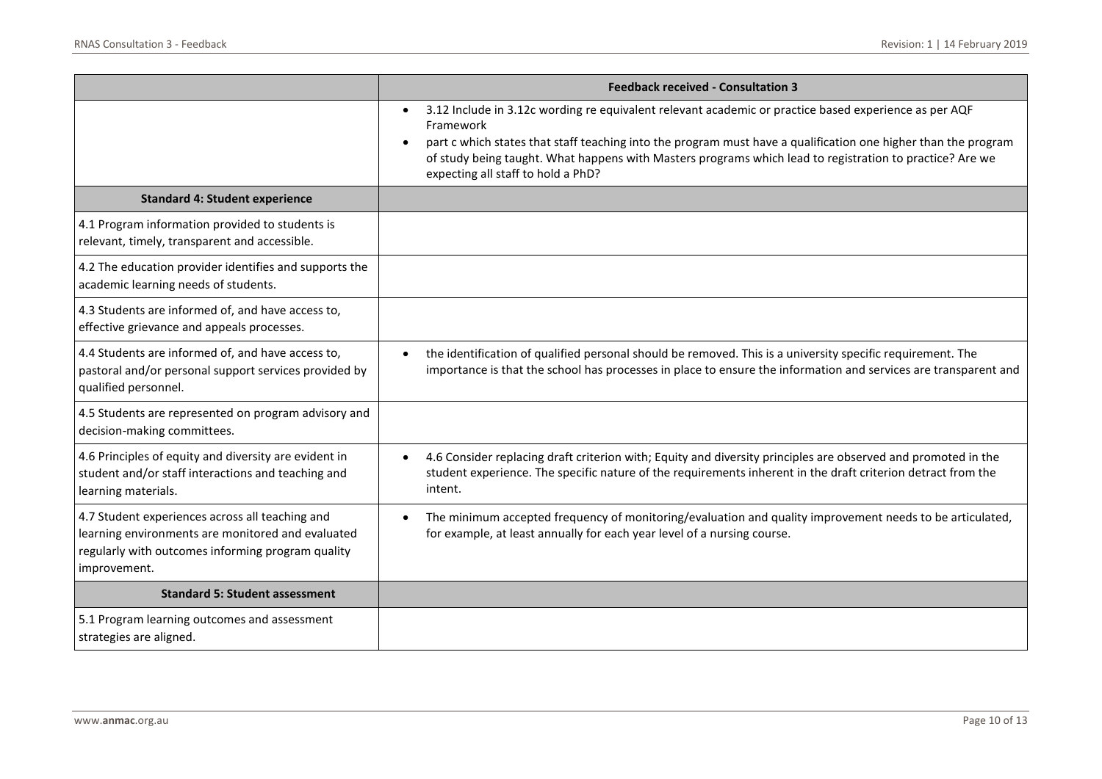|                                                                                                                                                                           | <b>Feedback received - Consultation 3</b>                                                                                                                                                                                                                                                                                                                                                           |
|---------------------------------------------------------------------------------------------------------------------------------------------------------------------------|-----------------------------------------------------------------------------------------------------------------------------------------------------------------------------------------------------------------------------------------------------------------------------------------------------------------------------------------------------------------------------------------------------|
|                                                                                                                                                                           | 3.12 Include in 3.12c wording re equivalent relevant academic or practice based experience as per AQF<br>$\bullet$<br>Framework<br>part c which states that staff teaching into the program must have a qualification one higher than the program<br>of study being taught. What happens with Masters programs which lead to registration to practice? Are we<br>expecting all staff to hold a PhD? |
| <b>Standard 4: Student experience</b>                                                                                                                                     |                                                                                                                                                                                                                                                                                                                                                                                                     |
| 4.1 Program information provided to students is<br>relevant, timely, transparent and accessible.                                                                          |                                                                                                                                                                                                                                                                                                                                                                                                     |
| 4.2 The education provider identifies and supports the<br>academic learning needs of students.                                                                            |                                                                                                                                                                                                                                                                                                                                                                                                     |
| 4.3 Students are informed of, and have access to,<br>effective grievance and appeals processes.                                                                           |                                                                                                                                                                                                                                                                                                                                                                                                     |
| 4.4 Students are informed of, and have access to,<br>pastoral and/or personal support services provided by<br>qualified personnel.                                        | the identification of qualified personal should be removed. This is a university specific requirement. The<br>importance is that the school has processes in place to ensure the information and services are transparent and                                                                                                                                                                       |
| 4.5 Students are represented on program advisory and<br>decision-making committees.                                                                                       |                                                                                                                                                                                                                                                                                                                                                                                                     |
| 4.6 Principles of equity and diversity are evident in<br>student and/or staff interactions and teaching and<br>learning materials.                                        | 4.6 Consider replacing draft criterion with; Equity and diversity principles are observed and promoted in the<br>$\bullet$<br>student experience. The specific nature of the requirements inherent in the draft criterion detract from the<br>intent.                                                                                                                                               |
| 4.7 Student experiences across all teaching and<br>learning environments are monitored and evaluated<br>regularly with outcomes informing program quality<br>improvement. | The minimum accepted frequency of monitoring/evaluation and quality improvement needs to be articulated,<br>$\bullet$<br>for example, at least annually for each year level of a nursing course.                                                                                                                                                                                                    |
| <b>Standard 5: Student assessment</b>                                                                                                                                     |                                                                                                                                                                                                                                                                                                                                                                                                     |
| 5.1 Program learning outcomes and assessment<br>strategies are aligned.                                                                                                   |                                                                                                                                                                                                                                                                                                                                                                                                     |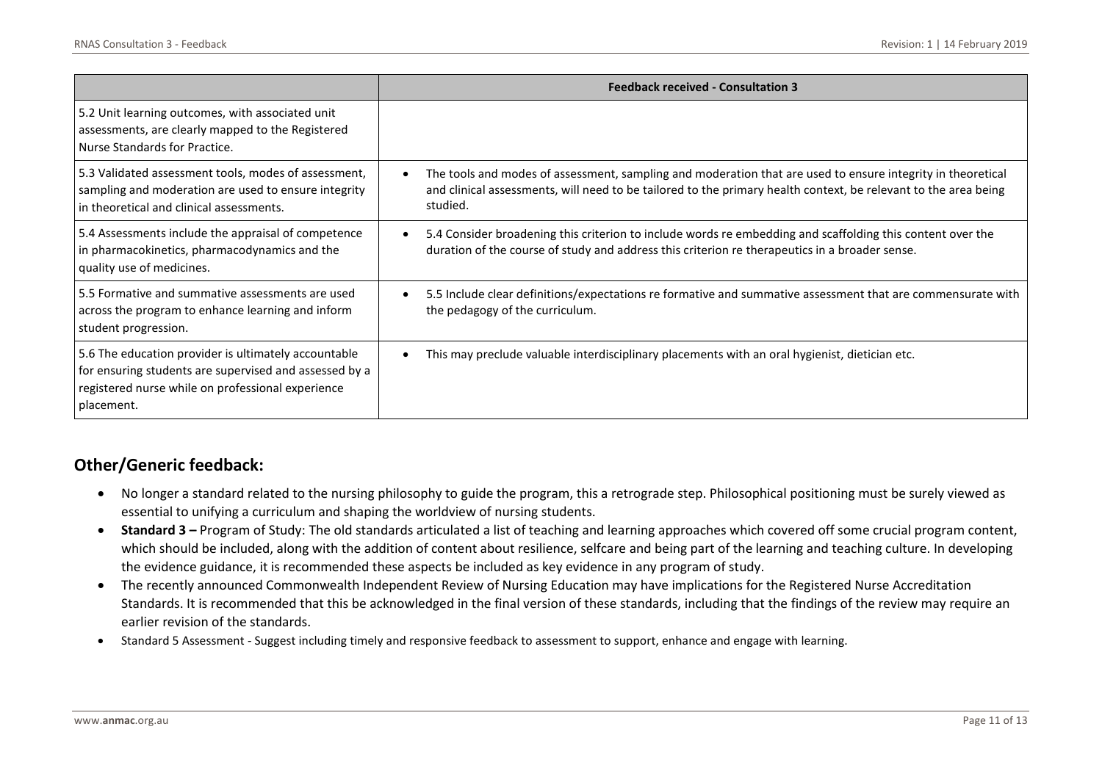|                                                                                                                                                                                   | <b>Feedback received - Consultation 3</b>                                                                                                                                                                                                  |
|-----------------------------------------------------------------------------------------------------------------------------------------------------------------------------------|--------------------------------------------------------------------------------------------------------------------------------------------------------------------------------------------------------------------------------------------|
| 5.2 Unit learning outcomes, with associated unit<br>assessments, are clearly mapped to the Registered<br>Nurse Standards for Practice.                                            |                                                                                                                                                                                                                                            |
| 5.3 Validated assessment tools, modes of assessment,<br>sampling and moderation are used to ensure integrity<br>in theoretical and clinical assessments.                          | The tools and modes of assessment, sampling and moderation that are used to ensure integrity in theoretical<br>and clinical assessments, will need to be tailored to the primary health context, be relevant to the area being<br>studied. |
| 5.4 Assessments include the appraisal of competence<br>in pharmacokinetics, pharmacodynamics and the<br>quality use of medicines.                                                 | 5.4 Consider broadening this criterion to include words re embedding and scaffolding this content over the<br>duration of the course of study and address this criterion re therapeutics in a broader sense.                               |
| 5.5 Formative and summative assessments are used<br>across the program to enhance learning and inform<br>student progression.                                                     | 5.5 Include clear definitions/expectations re formative and summative assessment that are commensurate with<br>the pedagogy of the curriculum.                                                                                             |
| 5.6 The education provider is ultimately accountable<br>for ensuring students are supervised and assessed by a<br>registered nurse while on professional experience<br>placement. | This may preclude valuable interdisciplinary placements with an oral hygienist, dietician etc.                                                                                                                                             |

## **Other/Generic feedback:**

- No longer a standard related to the nursing philosophy to guide the program, this a retrograde step. Philosophical positioning must be surely viewed as essential to unifying a curriculum and shaping the worldview of nursing students.
- Standard 3 Program of Study: The old standards articulated a list of teaching and learning approaches which covered off some crucial program content, which should be included, along with the addition of content about resilience, selfcare and being part of the learning and teaching culture. In developing the evidence guidance, it is recommended these aspects be included as key evidence in any program of study.
- The recently announced Commonwealth Independent Review of Nursing Education may have implications for the Registered Nurse Accreditation Standards. It is recommended that this be acknowledged in the final version of these standards, including that the findings of the review may require an earlier revision of the standards.
- Standard 5 Assessment Suggest including timely and responsive feedback to assessment to support, enhance and engage with learning.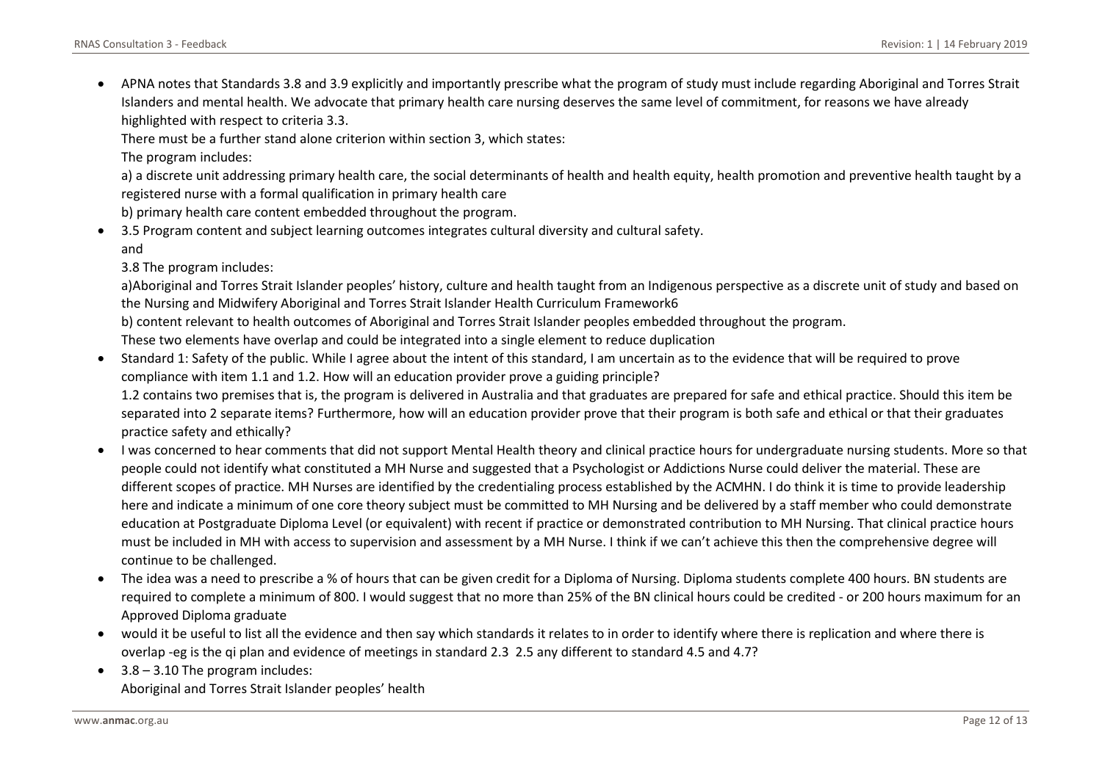• APNA notes that Standards 3.8 and 3.9 explicitly and importantly prescribe what the program of study must include regarding Aboriginal and Torres Strait Islanders and mental health. We advocate that primary health care nursing deserves the same level of commitment, for reasons we have already highlighted with respect to criteria 3.3.

There must be a further stand alone criterion within section 3, which states:

The program includes:

a) a discrete unit addressing primary health care, the social determinants of health and health equity, health promotion and preventive health taught by a registered nurse with a formal qualification in primary health care

b) primary health care content embedded throughout the program.

• 3.5 Program content and subject learning outcomes integrates cultural diversity and cultural safety. and

3.8 The program includes:

a)Aboriginal and Torres Strait Islander peoples' history, culture and health taught from an Indigenous perspective as a discrete unit of study and based on the Nursing and Midwifery Aboriginal and Torres Strait Islander Health Curriculum Framework6

b) content relevant to health outcomes of Aboriginal and Torres Strait Islander peoples embedded throughout the program.

These two elements have overlap and could be integrated into a single element to reduce duplication

• Standard 1: Safety of the public. While I agree about the intent of this standard, I am uncertain as to the evidence that will be required to prove compliance with item 1.1 and 1.2. How will an education provider prove a guiding principle?

1.2 contains two premises that is, the program is delivered in Australia and that graduates are prepared for safe and ethical practice. Should this item be separated into 2 separate items? Furthermore, how will an education provider prove that their program is both safe and ethical or that their graduates practice safety and ethically?

- I was concerned to hear comments that did not support Mental Health theory and clinical practice hours for undergraduate nursing students. More so that people could not identify what constituted a MH Nurse and suggested that a Psychologist or Addictions Nurse could deliver the material. These are different scopes of practice. MH Nurses are identified by the credentialing process established by the ACMHN. I do think it is time to provide leadership here and indicate a minimum of one core theory subject must be committed to MH Nursing and be delivered by a staff member who could demonstrate education at Postgraduate Diploma Level (or equivalent) with recent if practice or demonstrated contribution to MH Nursing. That clinical practice hours must be included in MH with access to supervision and assessment by a MH Nurse. I think if we can't achieve this then the comprehensive degree will continue to be challenged.
- The idea was a need to prescribe a % of hours that can be given credit for a Diploma of Nursing. Diploma students complete 400 hours. BN students are required to complete a minimum of 800. I would suggest that no more than 25% of the BN clinical hours could be credited - or 200 hours maximum for an Approved Diploma graduate
- would it be useful to list all the evidence and then say which standards it relates to in order to identify where there is replication and where there is overlap -eg is the qi plan and evidence of meetings in standard 2.3 2.5 any different to standard 4.5 and 4.7?
- 3.8 3.10 The program includes: Aboriginal and Torres Strait Islander peoples' health